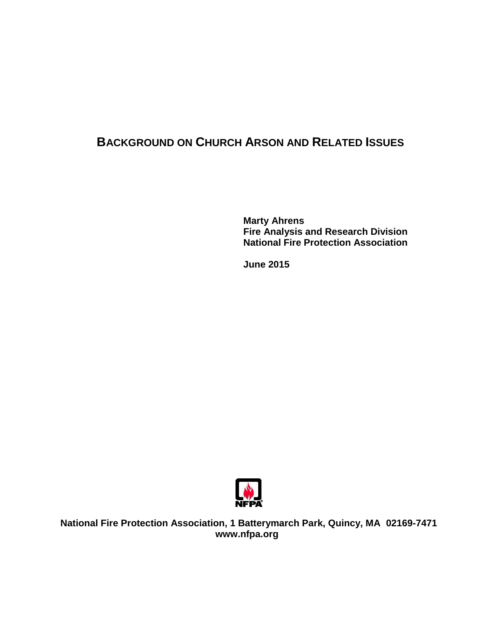# **BACKGROUND ON CHURCH ARSON AND RELATED ISSUES**

**Marty Ahrens Fire Analysis and Research Division National Fire Protection Association**

**June 2015**



**National Fire Protection Association, 1 Batterymarch Park, Quincy, MA 02169-7471 www.nfpa.org**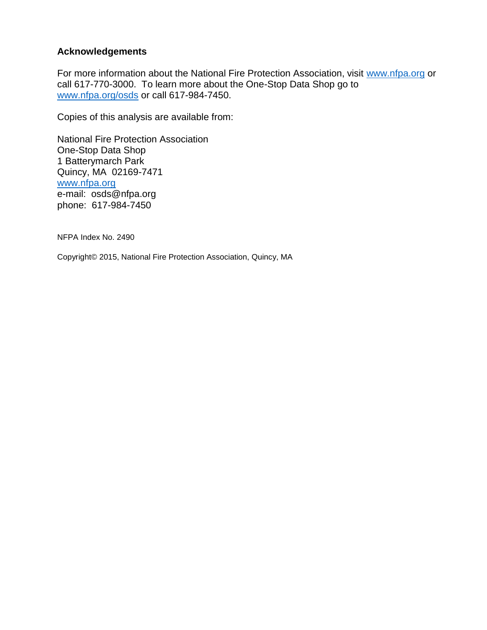#### **Acknowledgements**

For more information about the National Fire Protection Association, visit [www.nfpa.org](http://www.nfpa.org/) or call 617-770-3000. To learn more about the One-Stop Data Shop go to [www.nfpa.org/osds](http://www.nfpa.org/osds) or call 617-984-7450.

Copies of this analysis are available from:

National Fire Protection Association One-Stop Data Shop 1 Batterymarch Park Quincy, MA 02169-7471 [www.nfpa.org](http://www.nfpa.org/) e-mail: osds@nfpa.org phone: 617-984-7450

NFPA Index No. 2490

Copyright© 2015, National Fire Protection Association, Quincy, MA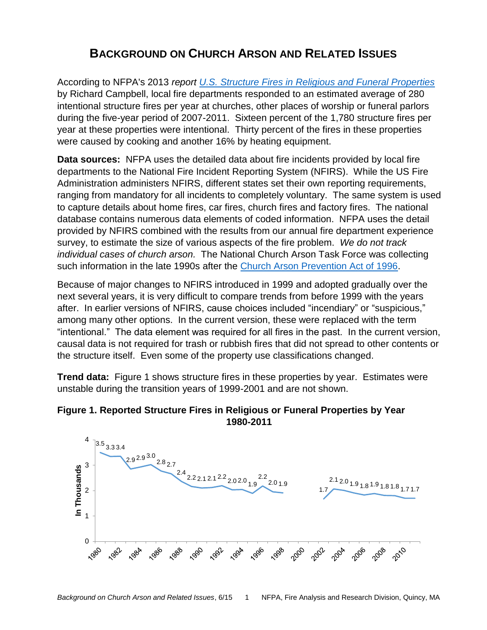# **BACKGROUND ON CHURCH ARSON AND RELATED ISSUES**

According to NFPA's 2013 *report [U.S. Structure Fires in Religious and Funeral Properties](http://www.nfpa.org/~/media/files/research/nfpa-reports/occupancies/osreligious.pdf?as=1&iar=1&la=en)* by Richard Campbell, local fire departments responded to an estimated average of 280 intentional structure fires per year at churches, other places of worship or funeral parlors during the five-year period of 2007-2011. Sixteen percent of the 1,780 structure fires per year at these properties were intentional. Thirty percent of the fires in these properties were caused by cooking and another 16% by heating equipment.

**Data sources:** NFPA uses the detailed data about fire incidents provided by local fire departments to the National Fire Incident Reporting System (NFIRS). While the US Fire Administration administers NFIRS, different states set their own reporting requirements, ranging from mandatory for all incidents to completely voluntary. The same system is used to capture details about home fires, car fires, church fires and factory fires. The national database contains numerous data elements of coded information. NFPA uses the detail provided by NFIRS combined with the results from our annual fire department experience survey, to estimate the size of various aspects of the fire problem. *We do not track individual cases of church arson.* The National Church Arson Task Force was collecting such information in the late 1990s after the [Church Arson Prevention Act of 1996.](http://www.justice.gov/jmd/ls/church-arson-prevention-act-1996-pl-104-155)

Because of major changes to NFIRS introduced in 1999 and adopted gradually over the next several years, it is very difficult to compare trends from before 1999 with the years after. In earlier versions of NFIRS, cause choices included "incendiary" or "suspicious," among many other options. In the current version, these were replaced with the term "intentional." The data element was required for all fires in the past. In the current version, causal data is not required for trash or rubbish fires that did not spread to other contents or the structure itself. Even some of the property use classifications changed.

**Trend data:** Figure 1 shows structure fires in these properties by year. Estimates were unstable during the transition years of 1999-2001 and are not shown.



### **Figure 1. Reported Structure Fires in Religious or Funeral Properties by Year 1980-2011**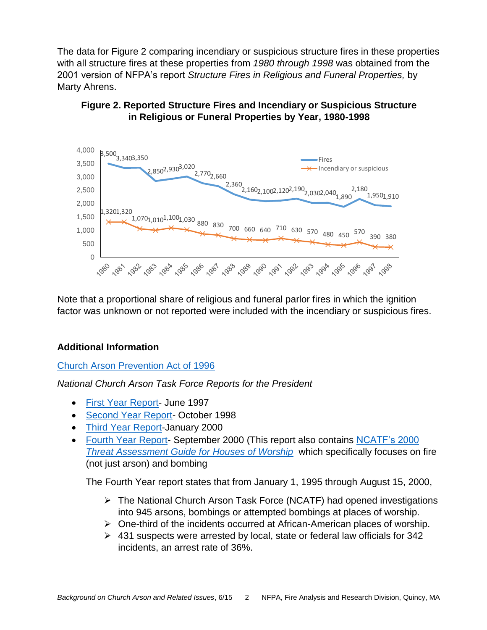The data for Figure 2 comparing incendiary or suspicious structure fires in these properties with all structure fires at these properties from *1980 through 1998* was obtained from the 2001 version of NFPA's report *Structure Fires in Religious and Funeral Properties,* by Marty Ahrens.

### **Figure 2. Reported Structure Fires and Incendiary or Suspicious Structure in Religious or Funeral Properties by Year, 1980-1998**



Note that a proportional share of religious and funeral parlor fires in which the ignition factor was unknown or not reported were included with the incendiary or suspicious fires.

### **Additional Information**

#### [Church Arson Prevention Act of 1996](http://www.justice.gov/jmd/ls/church-arson-prevention-act-1996-pl-104-155)

*National Church Arson Task Force Reports for the President*

- [First Year Report-](https://www.hsdl.org/?view&did=1411) June 1997
- [Second Year Report-](http://www.justice.gov/crt/church_arson/arson98.php) October 1998
- [Third Year Report-](https://www.hsdl.org/?view&did=1410)January 2000
- [Fourth Year Report-](https://www.hsdl.org/?view&did=1402) September 2000 (This report also contains NCATF's 2000 *[Threat Assessment Guide for Houses of Worship](http://www.terrorism.com/documents/Legacy/asis/threat.pdf)* which specifically focuses on fire (not just arson) and bombing

The Fourth Year report states that from January 1, 1995 through August 15, 2000,

- $\triangleright$  The National Church Arson Task Force (NCATF) had opened investigations into 945 arsons, bombings or attempted bombings at places of worship.
- $\triangleright$  One-third of the incidents occurred at African-American places of worship.
- $\geq$  431 suspects were arrested by local, state or federal law officials for 342 incidents, an arrest rate of 36%.